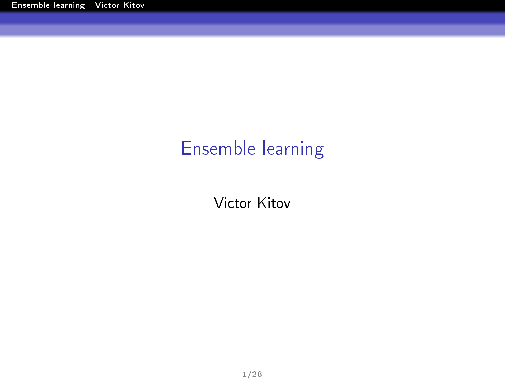# <span id="page-0-0"></span>Ensemble learning

Victor Kitov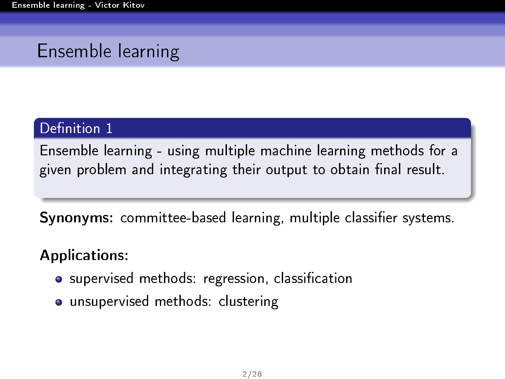# Ensemble learning

#### Definition 1

Ensemble learning - using multiple machine learning methods for a given problem and integrating their output to obtain final result.

**Synonyms:** committee-based learning, multiple classifier systems.

#### Applications:

- supervised methods: regression, classification
- unsupervised methods: clustering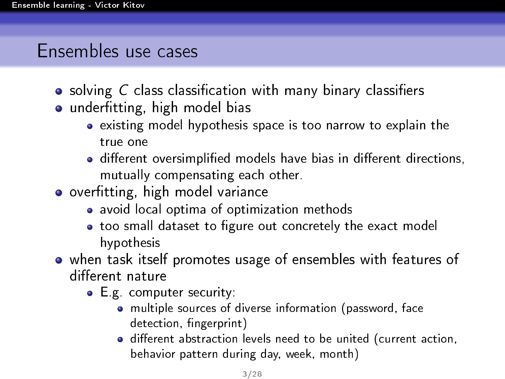### Ensembles use cases

- $\bullet$  solving C class classification with many binary classifiers
- o underfitting, high model bias
	- existing model hypothesis space is too narrow to explain the true one
	- different oversimplified models have bias in different directions, mutually compensating each other.
- o overfitting, high model variance
	- avoid local optima of optimization methods
	- too small dataset to figure out concretely the exact model hypothesis
- when task itself promotes usage of ensembles with features of different nature
	- E.g. computer security:
		- multiple sources of diverse information (password, face detection, fingerprint)
		- o different abstraction levels need to be united (current action, behavior pattern during day, week, month)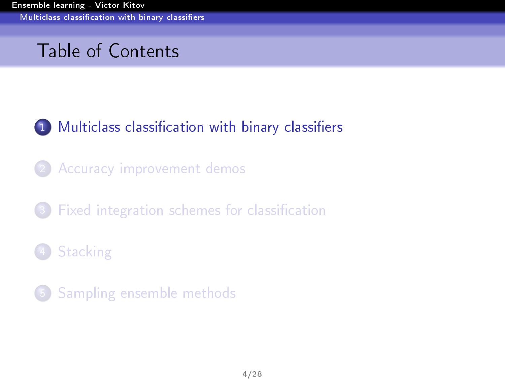# <span id="page-3-0"></span>Table of Contents



- 2 [Accuracy improvement demos](#page-6-0)
- Fixed integration schemes for classification
- [Stacking](#page-21-0)
- 5 [Sampling ensemble methods](#page-25-0)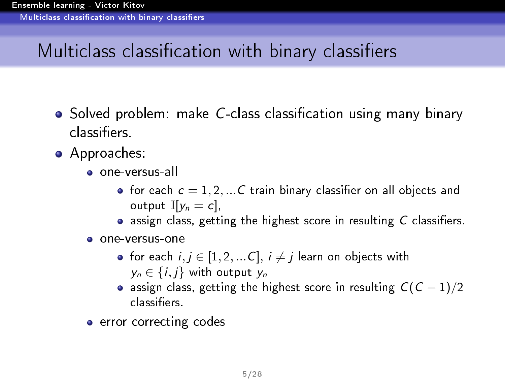# <span id="page-4-0"></span>Multiclass classification with binary classifiers

- Solved problem: make C-class classification using many binary classiers.
- Approaches:
	- one-versus-all
		- for each  $c = 1, 2, ...C$  train binary classifier on all objects and output  $\mathbb{I}[v_n = c]$ ,
		- $\bullet$  assign class, getting the highest score in resulting  $C$  classifiers.
	- one-versus-one
		- for each  $i, j \in [1, 2, ...C], i \neq j$  learn on objects with  $y_n \in \{i, j\}$  with output  $y_n$
		- assign class, getting the highest score in resulting  $C(C 1)/2$ classiers.
	- error correcting codes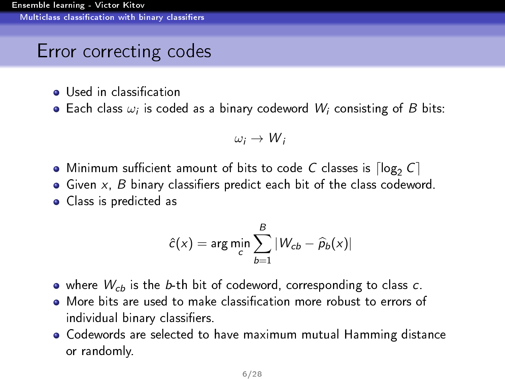### <span id="page-5-0"></span>Error correcting codes

- **o** Used in classification
- Each class  $\omega_i$  is coded as a binary codeword  $W_i$  consisting of  $B$  bits:

$$
\omega_i \to W_i
$$

- $\bullet$  Minimum sufficient amount of bits to code C classes is  $\lceil \log_2 C \rceil$
- $\bullet$  Given x, B binary classifiers predict each bit of the class codeword.
- Class is predicted as

$$
\hat{c}(x) = \arg\min_{c} \sum_{b=1}^{B} |W_{cb} - \hat{p}_b(x)|
$$

- $\bullet$  where  $W_{cb}$  is the b-th bit of codeword, corresponding to class c.
- More bits are used to make classification more robust to errors of individual binary classifiers.
- Codewords are selected to have maximum mutual Hamming distance or randomly.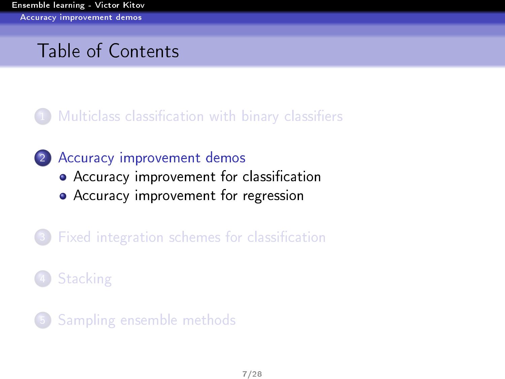# <span id="page-6-0"></span>Table of Contents

#### Multiclass classification with binary classifiers

#### 2 [Accuracy improvement demos](#page-6-0)

- Accuracy improvement for classification
- [Accuracy improvement for regression](#page-12-0)
- Fixed integration schemes for classification

# [Stacking](#page-21-0)

5 [Sampling ensemble methods](#page-25-0)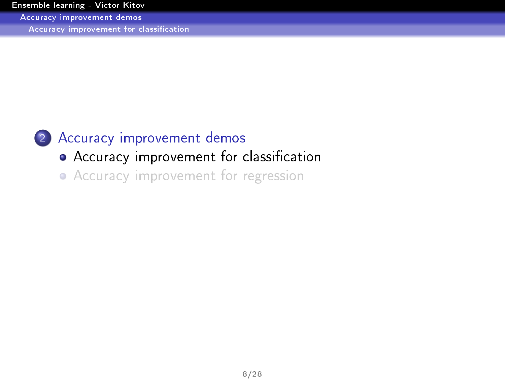<span id="page-7-0"></span>[Accuracy improvement demos](#page-7-0)

Accuracy improvement for classification



#### 2 [Accuracy improvement demos](#page-6-0)

- Accuracy improvement for classification
- [Accuracy improvement for regression](#page-12-0)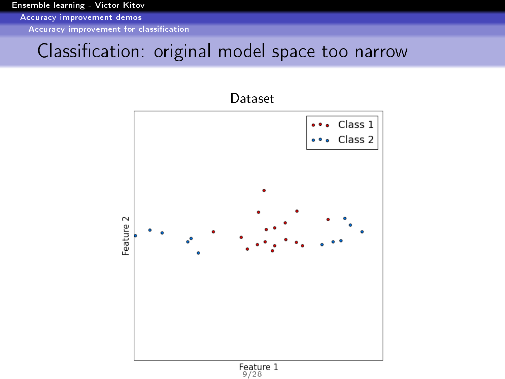<span id="page-8-0"></span>[Accuracy improvement demos](#page-8-0)

Accuracy improvement for classification

### Classification: original model space too narrow

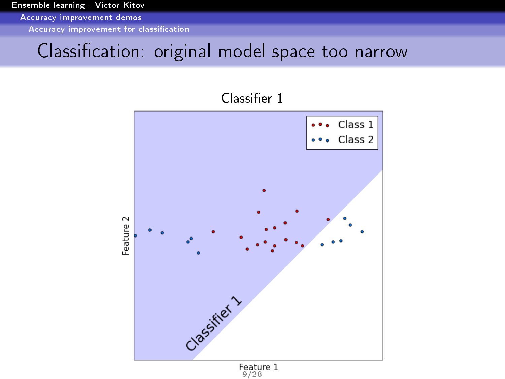<span id="page-9-0"></span>[Accuracy improvement demos](#page-9-0)

Accuracy improvement for classification

### Classification: original model space too narrow



Classifier 1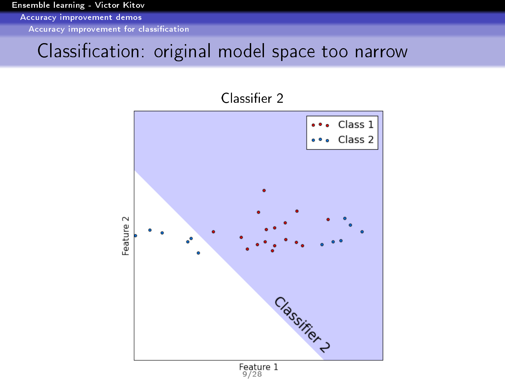<span id="page-10-0"></span>[Accuracy improvement demos](#page-10-0)

Accuracy improvement for classification

### Classification: original model space too narrow



Classifier 2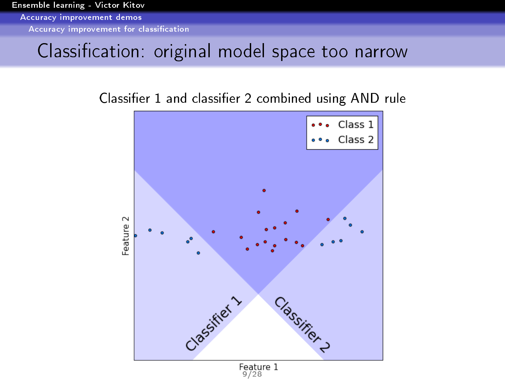<span id="page-11-0"></span>[Accuracy improvement demos](#page-11-0)

Accuracy improvement for classification

#### Classification: original model space too narrow

#### Classifier 1 and classifier 2 combined using AND rule

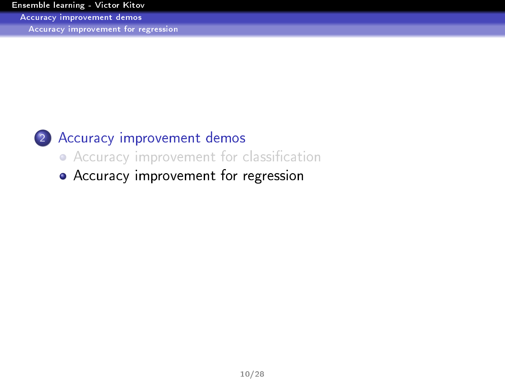<span id="page-12-0"></span>[Accuracy improvement demos](#page-12-0)

[Accuracy improvement for regression](#page-12-0)



#### 2 [Accuracy improvement demos](#page-6-0)

• Accuracy improvement for classification

[Accuracy improvement for regression](#page-12-0)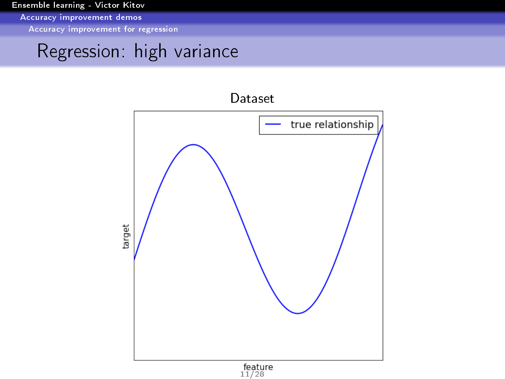<span id="page-13-0"></span>[Accuracy improvement demos](#page-13-0)

[Accuracy improvement for regression](#page-13-0)

### Regression: high variance

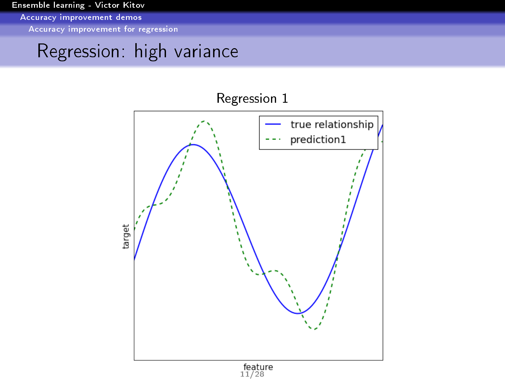<span id="page-14-0"></span>[Accuracy improvement demos](#page-14-0)

[Accuracy improvement for regression](#page-14-0)

### Regression: high variance

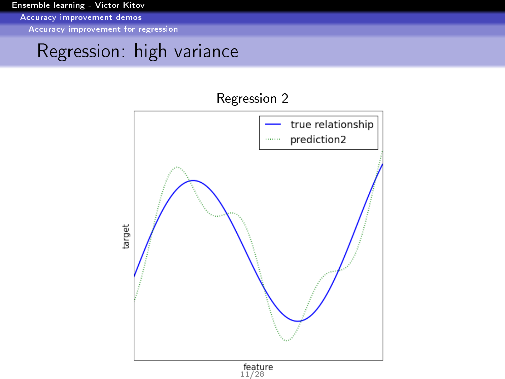<span id="page-15-0"></span>[Accuracy improvement demos](#page-15-0)

[Accuracy improvement for regression](#page-15-0)

### Regression: high variance

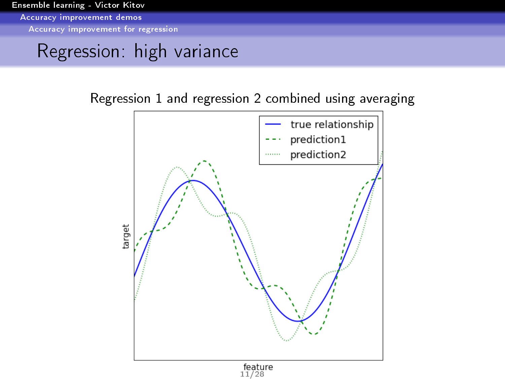<span id="page-16-0"></span>[Accuracy improvement demos](#page-16-0)

[Accuracy improvement for regression](#page-16-0)

### Regression: high variance

Regression 1 and regression 2 combined using averaging

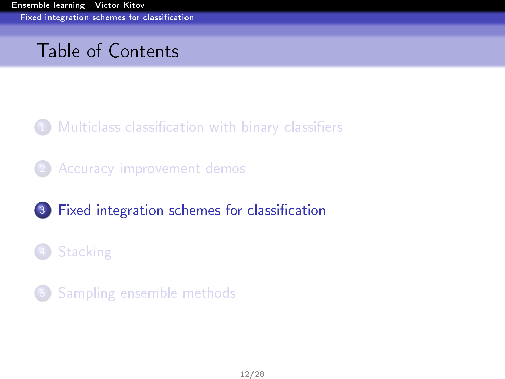# <span id="page-17-0"></span>Table of Contents

1 [Multiclass classication with binary classiers](#page-3-0)

2 [Accuracy improvement demos](#page-6-0)

(3) Fixed integration schemes for classification

[Stacking](#page-21-0)

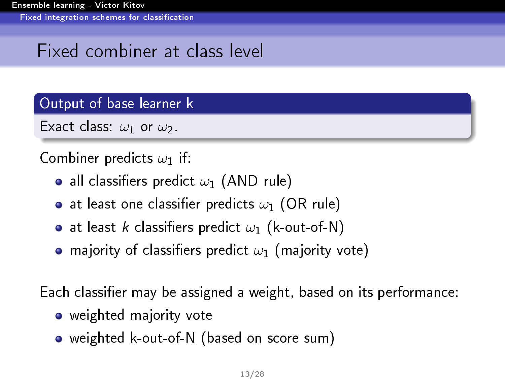# <span id="page-18-0"></span>Fixed combiner at class level

Output of base learner k

Exact class:  $\omega_1$  or  $\omega_2$ .

#### Combiner predicts  $\omega_1$  if:

- all classifiers predict  $\omega_1$  (AND rule)
- at least one classifier predicts  $\omega_1$  (OR rule)
- at least k classifiers predict  $\omega_1$  (k-out-of-N)
- **•** majority of classifiers predict  $\omega_1$  (majority vote)

Each classifier may be assigned a weight, based on its performance:

- weighted majority vote
- weighted k-out-of-N (based on score sum)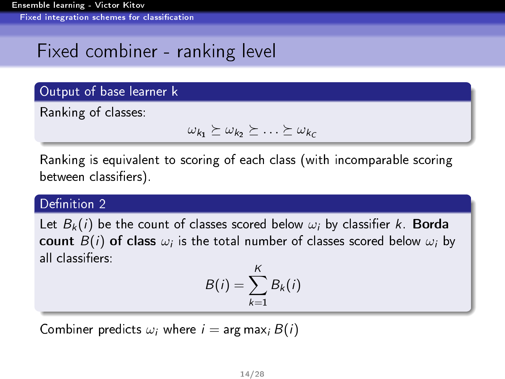# <span id="page-19-0"></span>Fixed combiner - ranking level

#### Output of base learner k

Ranking of classes:

$$
\omega_{k_1} \succeq \omega_{k_2} \succeq \ldots \succeq \omega_{k_c}
$$

Ranking is equivalent to scoring of each class (with incomparable scoring between classifiers).

#### Definition 2

Let  $B_k(i)$  be the count of classes scored below  $\omega_i$  by classifier k. Borda count  $B(i)$  of class  $\omega_i$  is the total number of classes scored below  $\omega_i$  by all classiers:

$$
B(i) = \sum_{k=1}^K B_k(i)
$$

Combiner predicts  $\omega_i$  where  $i = \arg \max_i B(i)$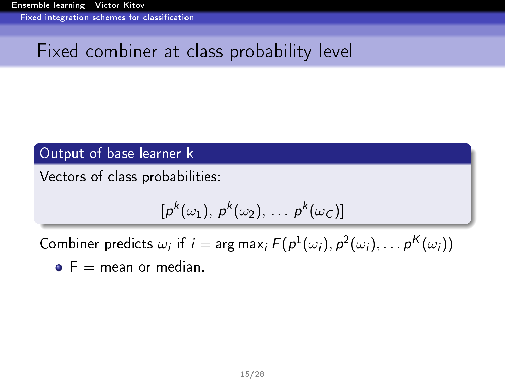<span id="page-20-0"></span>[Ensemble learning - Victor Kitov](#page-0-0) Fixed integration schemes for classification

# Fixed combiner at class probability level

#### Output of base learner k

Vectors of class probabilities:

$$
[p^k(\omega_1),\,p^k(\omega_2),\,\ldots\,p^k(\omega_C)]
$$

Combiner predicts  $\omega_i$  if  $i = \arg \max_i F(p^1(\omega_i), p^2(\omega_i), \dots p^K(\omega_i))$ 

 $\bullet$   $F =$  mean or median.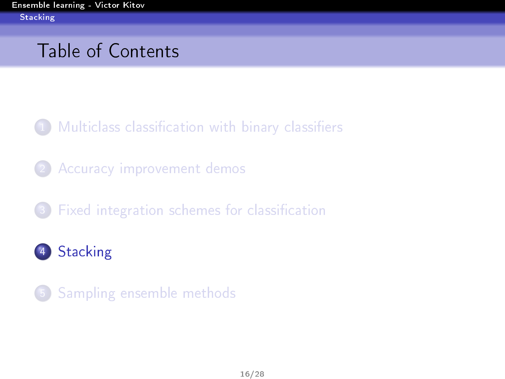# <span id="page-21-0"></span>Table of Contents

1 [Multiclass classication with binary classiers](#page-3-0)

2 [Accuracy improvement demos](#page-6-0)

Fixed integration schemes for classification

4 [Stacking](#page-21-0)

5 [Sampling ensemble methods](#page-25-0)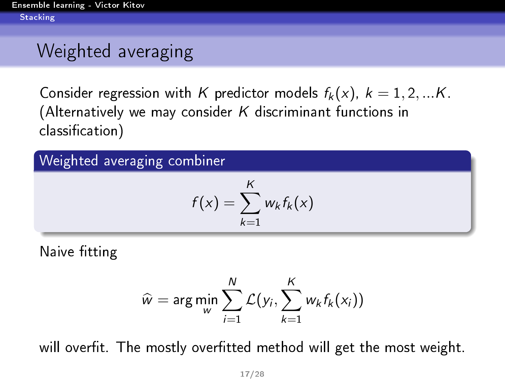# <span id="page-22-0"></span>Weighted averaging

Consider regression with K predictor models  $f_k(x)$ ,  $k = 1, 2, ...K$ . (Alternatively we may consider  $K$  discriminant functions in classification)

#### Weighted averaging combiner

$$
f(x) = \sum_{k=1}^{K} w_k f_k(x)
$$

Naive fitting

$$
\widehat{w} = \arg\min_{w} \sum_{i=1}^{N} \mathcal{L}(y_i, \sum_{k=1}^{K} w_k f_k(x_i))
$$

will overfit. The mostly overfitted method will get the most weight.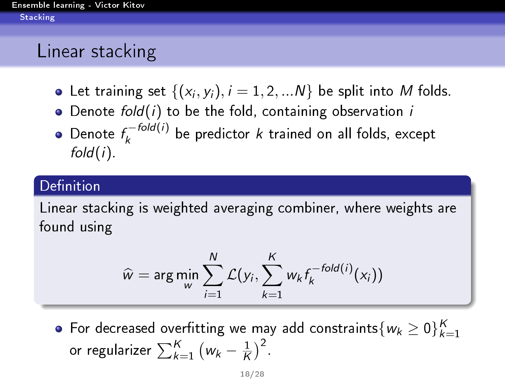### <span id="page-23-0"></span>Linear stacking

- Let training set  $\{(x_i, y_i), i = 1, 2, ... N\}$  be split into M folds.
- $\bullet$  Denote fold(i) to be the fold, containing observation i
- Denote  $f_k^{-fold(i)}$  $\epsilon_{k}^{T\rightarrow\text{out}(T)}$  be predictor  $k$  trained on all folds, except  $fold(i)$ .

#### Definition

Linear stacking is weighted averaging combiner, where weights are found using

$$
\widehat{w} = \arg \min_{w} \sum_{i=1}^{N} \mathcal{L}(y_i, \sum_{k=1}^{K} w_k f_k^{-fold(i)}(x_i))
$$

For decreased overfitting we may add constraints $\{w_k \geq 0\}_{k=1}^K$ or regularizer  $\sum_{k=1}^K \big( w_k - \frac{1}{K}$  $\frac{1}{K}$ )<sup>2</sup>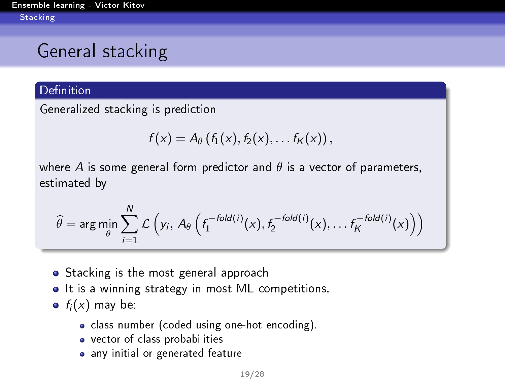<span id="page-24-0"></span>[Ensemble learning - Victor Kitov](#page-0-0) **[Stacking](#page-24-0)** 

# General stacking

#### Definition

Generalized stacking is prediction

$$
f(x) = A_{\theta}\left(f_1(x), f_2(x), \ldots f_K(x)\right),
$$

where A is some general form predictor and  $\theta$  is a vector of parameters, estimated by

$$
\widehat{\theta} = \arg \min_{\theta} \sum_{i=1}^{N} \mathcal{L}\left(y_i, A_{\theta}\left(f_1^{-fold(i)}(x), f_2^{-fold(i)}(x), \ldots f_K^{-fold(i)}(x)\right)\right)
$$

- Stacking is the most general approach
- It is a winning strategy in most ML competitions.
- $f_i(x)$  may be:
	- class number (coded using one-hot encoding).
	- vector of class probabilities
	- any initial or generated feature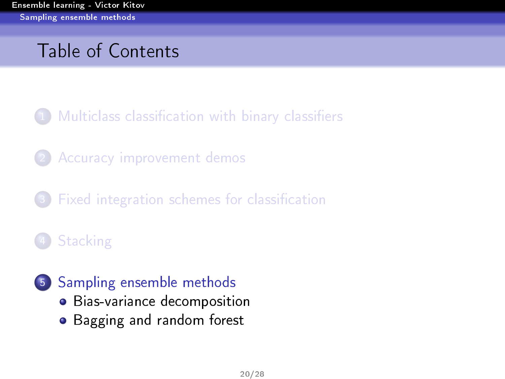# <span id="page-25-0"></span>Table of Contents

Multiclass classification with binary classifiers

- [Accuracy improvement demos](#page-6-0)
- Fixed integration schemes for classification

# [Stacking](#page-21-0)

- 5 [Sampling ensemble methods](#page-25-0) [Bias-variance decomposition](#page-26-0)
	- [Bagging and random forest](#page-29-0)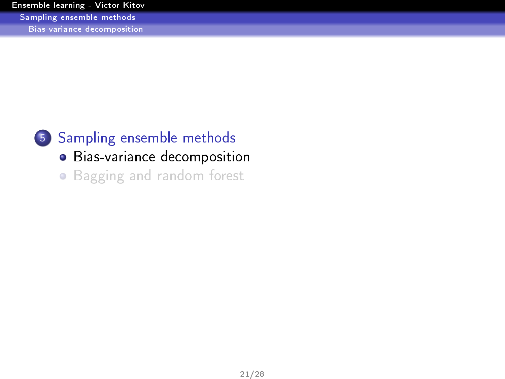<span id="page-26-0"></span>[Ensemble learning - Victor Kitov](#page-0-0) [Sampling ensemble methods](#page-26-0) [Bias-variance decomposition](#page-26-0)



5 [Sampling ensemble methods](#page-25-0)

[Bias-variance decomposition](#page-26-0)

[Bagging and random forest](#page-29-0)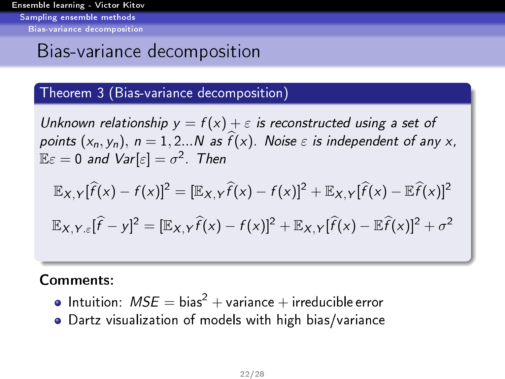<span id="page-27-0"></span>[Ensemble learning - Victor Kitov](#page-0-0) [Sampling ensemble methods](#page-27-0) [Bias-variance decomposition](#page-27-0)

### Bias-variance decomposition

#### <span id="page-27-1"></span>Theorem 3 (Bias-variance decomposition)

Unknown relationship  $y = f(x) + \varepsilon$  is reconstructed using a set of points  $(x_n, y_n)$ ,  $n = 1, 2...N$  as  $\widehat{f}(x)$ . Noise  $\varepsilon$  is independent of any x,  $\mathbb{E} \varepsilon = 0$  and  $\mathsf{Var}[\varepsilon] = \sigma^2$ . Then

$$
\mathbb{E}_{X,Y}[\hat{f}(x) - f(x)]^2 = [\mathbb{E}_{X,Y}\hat{f}(x) - f(x)]^2 + \mathbb{E}_{X,Y}[\hat{f}(x) - \mathbb{E}\hat{f}(x)]^2
$$
  

$$
\mathbb{E}_{X,Y,\varepsilon}[\hat{f} - y]^2 = [\mathbb{E}_{X,Y}\hat{f}(x) - f(x)]^2 + \mathbb{E}_{X,Y}[\hat{f}(x) - \mathbb{E}\hat{f}(x)]^2 + \sigma^2
$$

Comments:

- Intuition:  $MSE = bias^2 + variance + irreducible error$
- Dartz visualization of models with high bias/variance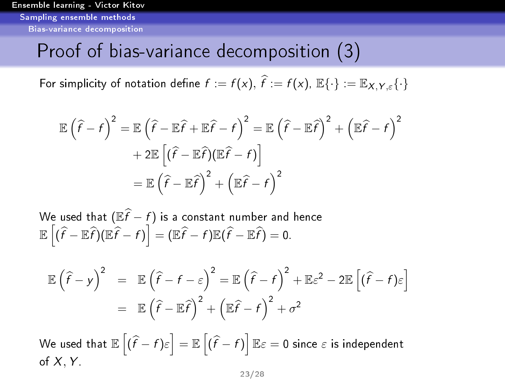<span id="page-28-0"></span>[Ensemble learning - Victor Kitov](#page-0-0) [Sampling ensemble methods](#page-28-0) [Bias-variance decomposition](#page-28-0)

#### Proof of bias-variance decomposition [\(3\)](#page-27-1)

For simplicity of notation define  $f := f(x)$ ,  $\widehat{f} := f(x)$ ,  $\mathbb{E}\{\cdot\} := \mathbb{E}_{X,Y,\varepsilon}\{\cdot\}$ 

$$
\mathbb{E}(\widehat{f} - f)^2 = \mathbb{E}(\widehat{f} - \mathbb{E}\widehat{f} + \mathbb{E}\widehat{f} - f)^2 = \mathbb{E}(\widehat{f} - \mathbb{E}\widehat{f})^2 + (\mathbb{E}\widehat{f} - f)^2
$$

$$
+ 2\mathbb{E}[(\widehat{f} - \mathbb{E}\widehat{f})(\mathbb{E}\widehat{f} - f)]
$$

$$
= \mathbb{E}(\widehat{f} - \mathbb{E}\widehat{f})^2 + (\mathbb{E}\widehat{f} - f)^2
$$

We used that  $(\mathbb{E}\widehat{f} - f)$  is a constant number and hence  $\mathbb{E}\left[(\widehat{f}-\mathbb{E}\widehat{f})(\mathbb{E}\widehat{f}-f)\right]=(\mathbb{E}\widehat{f}-f)\mathbb{E}(\widehat{f}-\mathbb{E}\widehat{f})=0.$ 

$$
\mathbb{E}(\hat{f} - y)^2 = \mathbb{E}(\hat{f} - f - \varepsilon)^2 = \mathbb{E}(\hat{f} - f)^2 + \mathbb{E}\varepsilon^2 - 2\mathbb{E}[(\hat{f} - f)\varepsilon]
$$
  
=  $\mathbb{E}(\hat{f} - \mathbb{E}\hat{f})^2 + (\mathbb{E}\hat{f} - f)^2 + \sigma^2$ 

We used that  $\mathbb{E}\left[(\widehat{f}-f)\varepsilon\right]=\mathbb{E}\left[(\widehat{f}-f)\right]\mathbb{E}\varepsilon=0$  since  $\varepsilon$  is independent of  $X, Y$ .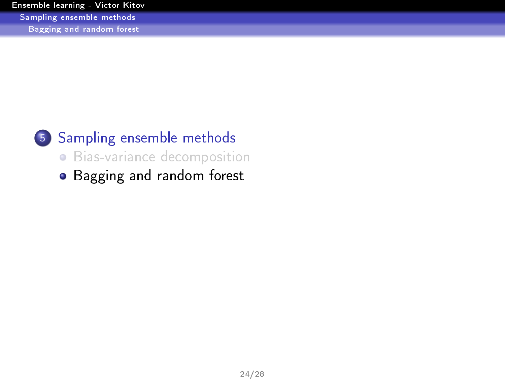<span id="page-29-0"></span>

### 5 [Sampling ensemble methods](#page-25-0)

[Bias-variance decomposition](#page-26-0)

[Bagging and random forest](#page-29-0)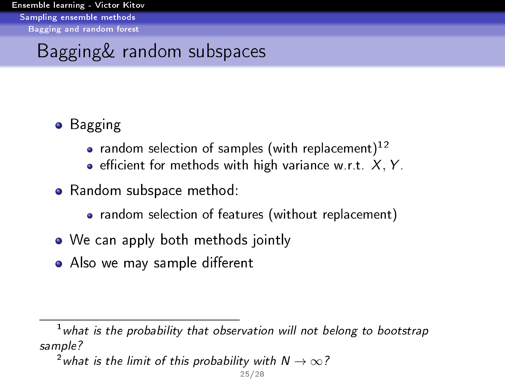# <span id="page-30-0"></span>Bagging& random subspaces

#### **•** Bagging

- random selection of samples (with replacement)<sup>12</sup>
- **e** efficient for methods with high variance w.r.t.  $X, Y$ .
- Random subspace method:
	- random selection of features (without replacement)
- We can apply both methods jointly
- Also we may sample different

 $1$  what is the probability that observation will not belong to bootstrap sample?

<sup>&</sup>lt;sup>2</sup> what is the limit of this probability with  $N \to \infty$ ?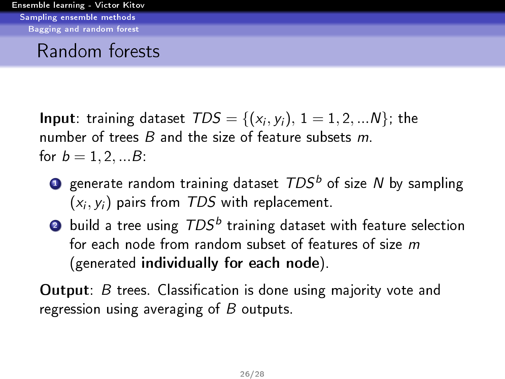#### <span id="page-31-0"></span>Random forests

**Input**: training dataset  $TDS = \{(x_i, y_i), 1 = 1, 2, ...N\}$ ; the number of trees  $B$  and the size of feature subsets  $m$ . for  $b = 1, 2, ... B$ .

- **2** generate random training dataset  $TDS<sup>b</sup>$  of size N by sampling  $(x_i, y_i)$  pairs from  $\mathcal{TDS}$  with replacement.
- $\bullet$  build a tree using  $TDS^b$  training dataset with feature selection for each node from random subset of features of size m (generated individually for each node).

**Output**:  $B$  trees. Classification is done using majority vote and regression using averaging of  $B$  outputs.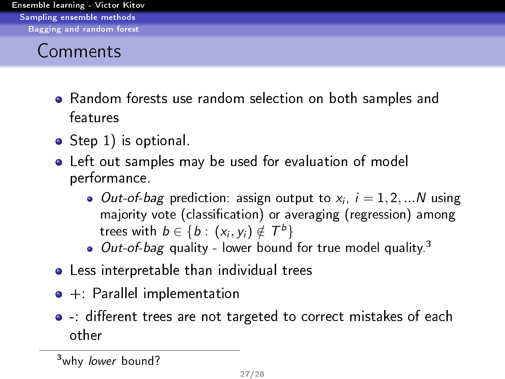### <span id="page-32-0"></span>Comments

- Random forests use random selection on both samples and features
- Step 1) is optional.
- Left out samples may be used for evaluation of model performance.
	- *Out-of-bag* prediction: assign output to  $x_i$ ,  $i = 1, 2, ...N$  using majority vote (classification) or averaging (regression) among trees with  $b \in \{b : (x_i, y_i) \notin \mathcal{T}^b\}$
	- $\bullet$  *Out-of-bag* quality lower bound for true model quality.<sup>3</sup>
- Less interpretable than individual trees
- +: Parallel implementation
- $\bullet$  -: different trees are not targeted to correct mistakes of each other

<sup>3</sup>why lower bound?